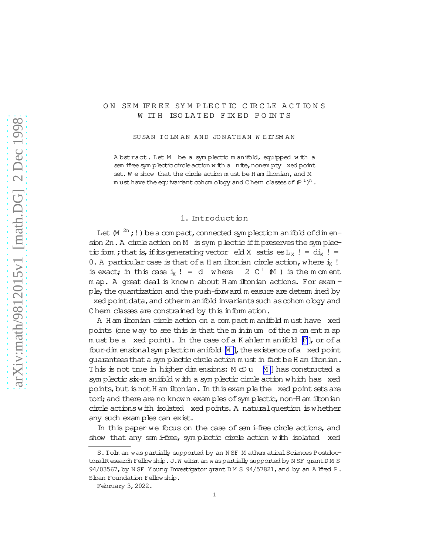### ON SEM IFREE SYMPLECTIC CIRCLE ACTIONS W ITH ISOLATED FIXED POINTS

SU SAN TO LM AN AND JONATHAN WEIT SMAN

A bstract. Let M be a sym plectic m anifold, equipped w ith a sem ifree symplectic circle action with a nite, nonempty xed point set. We show that the circle action must be H am iltonian, and M m usthave the equivariant cohom ology and C hern classes of  $(\mathbb{P}^1)^{\mathrm{n}}$  .

#### 1. Introduction

Let  $\mathbb{M}^{2n}$  ; ! ) be a com pact, connected sym plecticm anifold ofdim ension 2n. A circle action on M is symplectic if it preserves the symplectic form ; that is, if its generating vector eld X satis es  $L_X$  ! = di<sub>X</sub> ! = 0. A particular case is that of a H am iltonian circle action, where  $i_X$ ! is exact; in this case  $i_x$  ! = d where  $2 C<sup>1</sup>$  (M ) is the m om ent m ap. A great deal is known about H am iltonian actions. For exam ple, the quantization and the push-forward m easure are determ ined by xed point data, and otherm anifold invariants such as cohom ology and Chem classes are constrained by this inform ation.

A H am iltonian circle action on a com pactm anifold m usthave xed points (one way to see this is that the m inim um ofthe m om ent m ap must be a xed point). In the case of a K ahler m anifold  $[**F**]$ , or of a four-dim ensionalsym plectic m anifold  $[M]$ , the existence of a xed point guaranteesthata sym plectic circleaction m ustin factbeH am iltonian. This is not true in higher dim ensions:  $M \oplus u$  [\[M](#page-12-0) ] has constructed a sym plectic six-m anifold with a sym plectic circle action which has xed points, but is not H am iltonian. In this exam ple the xed point sets are tori; and there are no known exam ples of symplectic, non-H am iltonian circle actionswith isolated xed points.A naturalquestion iswhether any such exam ples can exist.

In this paper we focus on the case of sem i-free circle actions, and show that any sem i-free, symplectic circle action with isolated xed

S. Tolm an was partially supported by an N SF M athem atical Sciences PostdoctoralR esearch Fellow ship. J.W eitsm an was partially supported by N SF grant D M S 94/03567, by N SF Young Investigator grant DM S 94/57821, and by an A lfred P. Sloan Foundation Fellow ship.

February 3,2022.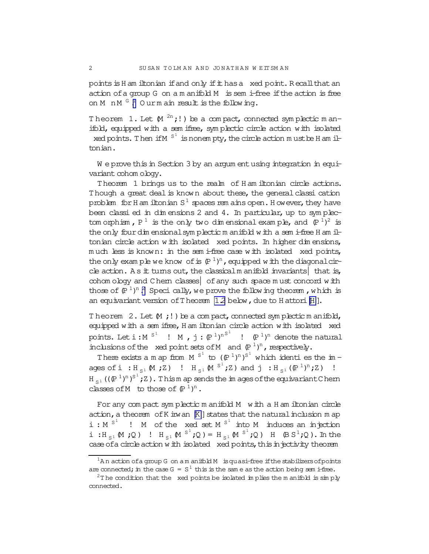points is H am iltonian if and only if it has a xed point. Recall that an action of a group G on a m anifold M is semi-free if the action is free on M  $n M G$ . Ourm ain result is the following.

Theorem 1. Let  $(M \supseteq n;!)$  be a compact, connected symplectic manifold, equipped with a sem ifree, sym plectic circle action with isolated xed points. Then if  $M S<sup>1</sup>$  is nonem pty, the circle action m ust be H am iltonian.

W e prove this in Section 3 by an argum entusing integration in equivariant cohom ology.

Theorem 1 brings us to the realm of H am iltonian circle actions. Though a great deal is known about these, the general classi cation problem for H am iltonian S  $^1$  spaces rem ains open. H owever, they have been classi ed in dim ensions 2 and 4. In particular, up to symplectom orphism,  $P^1$  is the only two dimensional example, and  $(P^1)^2$  is the only four dim ensional symplectic m anifold with a semi-free H am iltonian circle action with isolated xed points. In higher dim ensions, much less is known: in the sem i-free case with isolated xed points, the only example we know of is  $(\mathbb{P}^1)^n$ , equipped with the diagonalcircle action. A s it turns out, the classicalm anifold invariants that is, cohom ology and Chern classes of any such space must concord with those of  $(P<sup>1</sup>)<sup>n</sup>$ . Speci cally, we prove the following theorem , which is an equivariant version of Theorem  $1.2$  below, due to H attori $[H]$  $[H]$ .

Theorem 2. Let  $(M ; !)$  be a compact, connected symplectic m anifold, equipped with a sem ifree, H am iltonian circle action with isolated xed points. Let  $i : M$   $s^{1}$  !  $M$  ,  $j : (P^{1})^{nS^{1}}$  !  $(P^{1})^{n}$  denote the natural inclusions of the xed point sets of M and  $(P^1)^n$ , respectively.

There exists a m ap from  $M^{S^1}$  to  $(P^1)^n)^{S^1}$  which identi es the im ages of i:  $H_{S^1} M$ ;  $Z$ ) !  $H_{S^1} M S^1$ ;  $Z$ ) and  $j$ :  $H_{S^1} (P^1)^n$ ;  $Z$ ) !  $H_{S^1}$  ( $({P^1})^n$ )<sup>s1</sup>;Z). Thism ap sends the im ages of the equivariant Chern classes of M to those of  $(P<sup>1</sup>)<sup>n</sup>$ .

For any compact symplectic m anifold M with a H am iltonian circle action, a theorem of K irwan  $[K]$  states that the natural inclusion m ap  $i : M^{S^1}$  ! M of the xed set M<sup>S<sup>1</sup></sup> into M induces an injection i : $H_{S^1} M$  ; Q ) !  $H_{S^1} M^{S^1}$  ; Q ) =  $H_{S^1} M^{S^1}$  ; Q ) H  $(BS^1; Q)$ . In the case of a circle action with isolated xed points, this in jectivity theorem

<span id="page-1-0"></span>

 $1$ An action ofa group G on am anifold M is quasi-free if the stabilizers of points are connected; in the case  $G = S^1$  this is the same as the action being sem i-free.

<sup>&</sup>lt;sup>2</sup>T he condition that the xed points be isolated in plies the m anifold is simply connected.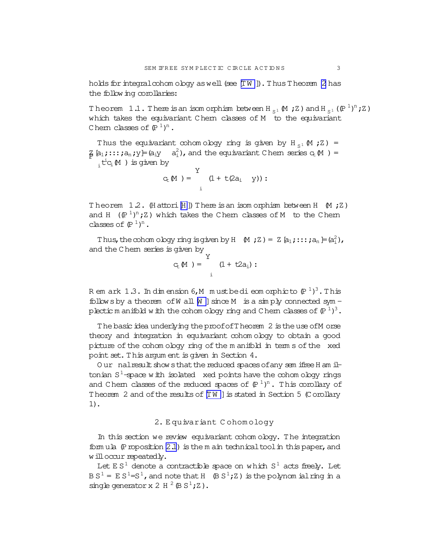<span id="page-2-0"></span>holds for integral cohomology as well (see  $[TW]$ ). Thus Theorem 2 has the following corollaries:

Theorem 1.1. There is an isomorphism between H<sub>s</sub>1  $(M ; Z)$  and H<sub>s1</sub>  $(\mathbb{P}^{1})^{n}; Z)$ which takes the equivariant Chem classes of M to the equivariant Chem classes of  $(P<sup>1</sup>)<sup>n</sup>$ .

Thus the equivariant cohom ology ring is given by H<sub>s1</sub> M ; Z) =  $\frac{1}{4}$  [a<sub>1</sub>;:::; a<sub>n</sub>; y = (a<sub>i</sub>y a<sup>2</sup><sub>i</sub>), and the equivariant Chem series  $c_t M$ ) =  $, t^i c_i M$  ) is given by

$$
c_t(M) = \n\begin{cases}\nY & (1 + t(2a_i \quad Y)) : \\
i & (1 + t(2a_i) + t(2a_i))\n\end{cases}
$$

Theorem 1.2. (Hattori [H]) There is an isom orphism between H  $(M, Z)$ and H  $(\mathbb{P}^1)^n$ ; Z) which takes the Chem classes of M to the Chem classes of  $(\mathbb{P}^1)^n$ .

Thus, the cohom ology ring is given by H  $(M, Z) = Z [a_1; \dots; a_n] = (a_i^2)$ , and the Chem series is given by

$$
G_{c} M) = \int_{i}^{Y} (1 + t2a_{i}) :
$$

Rem ark 1.3. In dimension 6, M must be dieomorphic to  $(P^{-1})^3$ . This follows by a theorem of W all  $[M]$  since M is a simply connected sym plectic m anifold with the cohom ology ring and Chern classes of  $(P<sup>1</sup>)<sup>3</sup>$ .

The basic idea underlying the proof of Theorem 2 is the use of Morse theory and integration in equivariant cohomology to obtain a good picture of the cohom ology ring of the manifold in term s of the xed point set. This argum ent is given in Section 4.

Our nalresult show sthat the reduced spaces of any sem ifree H am iltonian  $S^1$ -space with isolated xed points have the cohom ology rings and Chem classes of the reduced spaces of  $(P<sup>1</sup>)<sup>n</sup>$ . This corollary of Theorem 2 and of the results of [IW] is stated in Section 5 (Corollary  $1$ ).

## 2. Equivariant Cohomology

In this section we review equivariant cohomology. The integration formula  $(P$  roposition  $2.1$ ) is the m ain technical tool in this paper, and will occur repeatedly.

Let  $ES^1$  denote a contractible space on which  $S^1$  acts freely. Let  $BS^1 = ES^1 = S^1$ , and note that H  $\oplus S^1$ ; Z) is the polynom ial ring in a single generator x 2 H  $^2$  (B S<sup>1</sup>; Z).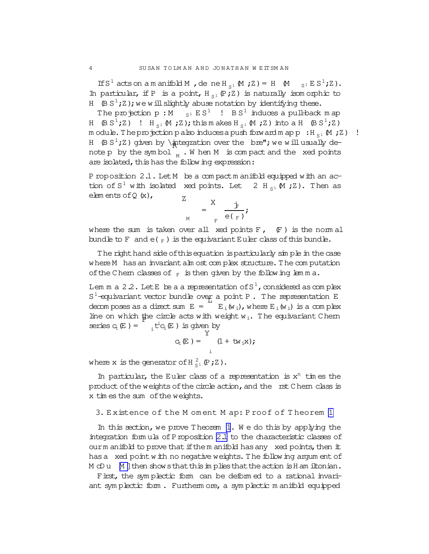If  $S^1$  acts on a m anifold M, dene H<sub>S1</sub> (M; Z) = H (M<sub>S1</sub> E S<sup>1</sup>;Z). In particular, if P is a point,  $H_{S^1}(\mathbb{P};Z)$  is naturally isom orphic to H  $(B S<sup>1</sup>;Z)$ ; we will slightly abuse notation by identifying these.

The projection p : M  $_{\rm S1}$  E S<sup>1</sup> ! B S<sup>1</sup> induces a pull-back m ap H  $(\beta S^1;Z)$  ! H<sub>S1</sub> (M ;Z); this m akes H<sub>S1</sub> (M ;Z) into a H  $(\beta S^1;Z)$ m odule. The projection palso induces a push forward m ap  $p : H_{S1} M;Z$ ) ! H  $(\mathsf{B}\mathsf{S}^1; \mathsf{Z})$  given by \integration over the bre"; we will usually denote p by the symbol  $_{\textrm{\tiny{M}}}$  . When M is compact and the xed points are isolated, this has the following expression:

P roposition 2.1. Let M be a compactm anifold equipped with an action of  $S^1$  with isolated xed points. Let 2 H<sub>S1</sub> M ; Z). Then as elem ents of Q  $(x)$ ,  $Z$ 

$$
M_{\text{M}} = \frac{X}{\text{F}} \frac{\dot{\mathbf{F}}}{\mathbf{e}(\mathbf{F})}
$$

where the sum is taken over all xed points  $F$ ,  $(F)$  is the norm all bundle to F and  $e(F)$  is the equivariant Euler class of this bundle.

The righthand side of this equation is particularly simple in the case where M has an invariant alm ost complex structure. The computation of the Chern classes of  $_F$  is then given by the following lemma.

Lem m a 2.2. Let E be a a representation of S  $^1$  , considered as complex  $S^1$ -equivariant vector bundle over a point P. The representation E decom poses as a direct sum  $E = E_i(w_i)$ , where  $E_i(w_i)$  is a complex line on which the circle acts with weight  $w_i$ . The equivariant Chern series  $c_t(E) = \int_{i}^{t} t^i c_i(E)$  is given by

$$
C_{E}(E) = \int_{i}^{Y} (1 + tw_{i}x);
$$

where x is the generator of  $H_{S^1}^2(P;Z)$ .

In particular, the Euler class of a representation is  $x^n$  times the product of the weights of the circle action, and the rst Chern class is x tim esthe sum ofthe weights.

3. E xistence of the M om ent M ap: P roof of T heorem [1](#page-1-0)

In this section, we prove Theorem [1](#page-1-0). We do this by applying the integration form ula of Proposition 2.1 to the characteristic classes of ourm anifold to prove that if the m anifold has any xed points, then  $#$ has a xed point with no negative weights. The following argum ent of  $M$  dD u  $M$  ] then show sthat this im plies that the action is H am iltonian.

First, the sym plectic form can be deform ed to a rational invariant sym plectic form . Furtherm ore, a sym plectic m anifold equipped

<span id="page-3-0"></span>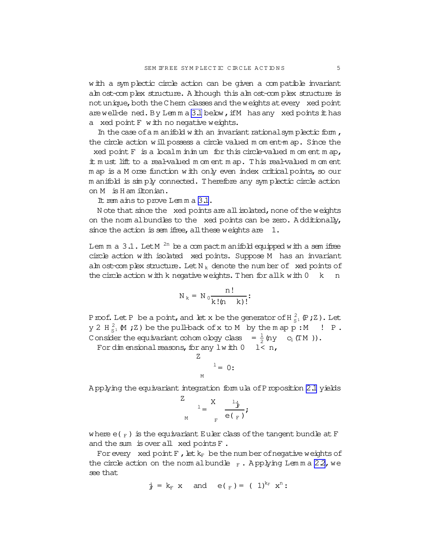with a symplectic circle action can be given a compatible invariant alm ost-com plex structure. A lthough this alm ost-com plex structure is not unique, both the Chern classes and the weights at every xed point are well-de ned. By Lem m a  $3.1$  below, if M has any xed points it has a xed point F with no negative weights.

In the case of a m anifold with an invariant rational symplectic form, the circle action will possess a circle valued m om ent-m ap. Since the xed point  $F$  is a localm inimum for this circle-valued m om ent m ap,

it m ust lift to a real-valued m om ent m ap. This real-valued m om ent m ap is a M orse function with only even index critical points, so our m anifold is sim ply connected. Therefore any sym plectic circle action on M isH am iltonian.

It rem ains to prove Lem m a 3.1.

N ote that since the  $x$ ed points are all isolated, none of the weights on the norm albundles to the xed points can be zero. A dditionally, since the action is sem ifree, all these weights are  $1$ .

Lem m a  $3.1$ . Let M  $^{2n}$  be a compactm anifold equipped with a sem ifree circle action with isolated xed points. Suppose M has an invariant alm ost-com plex structure. Let  $N_k$  denote the num ber of xed points of the circle action with k negative weights. Then for all k with  $0 \le k$  n

$$
N_k = N_0 \frac{n!}{k!(n-k)!}
$$

Proof. Let P be a point, and let x be the generator of H $_{S^1}^2$  (P;Z). Let  $y$  2 H $_{S}^2$  M ; Z) be the pull-back of x to M by the m ap p: M ! P. Consider the equivariant cohom ology class =  $\frac{1}{2}$  $\frac{1}{2}$  (ny c<sub>1</sub> (TM )).

For dim ensional reasons, for any  $l$  with  $0$   $l < n$ ,

$$
\begin{array}{c}\nZ \\
1 = 0: \n\end{array}
$$

A pplying the equivariant integration form ula ofProposition [2.1](#page-3-0) yields

$$
\frac{Z}{M} = \frac{X}{E} \frac{\frac{1}{\mathbf{F}}}{e(\mathbf{F})}
$$

where  $e(F)$  is the equivariant Euler class of the tangent bundle at F and the sum is over all xed points F.

For every xed point  $F$ , let  $k_F$  be the num ber of negative weights of the circle action on the norm albundle  $_F$ . Applying Lemma 22, we see that

$$
\dot{\mathbf{y}} = \mathbf{k}_{F} \mathbf{x} \text{ and } \mathbf{e}(\mathbf{y}) = (1)^{k_{F}} \mathbf{x}^{n}
$$
: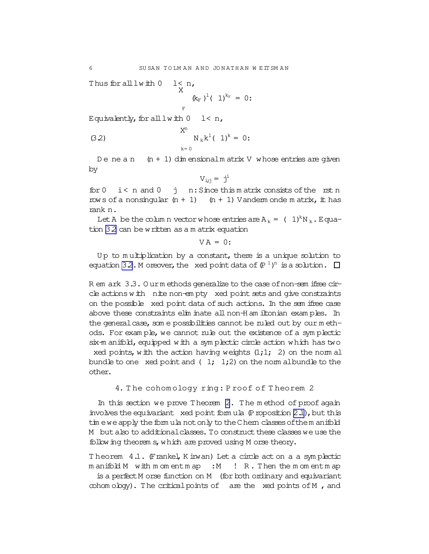<span id="page-5-0"></span>Thus for all  $l$  with  $0$   $l < n$ , X

$$
\kappa_{\rm F}^{\rm (k)}\,b^{\rm 1}(\,1)^{\rm k}_{\rm F} = 0:
$$

Equivalently, for all  $l$  with  $0$   $l < n$ ,

(3.2) 
$$
X^{n} \underset{k=0}{N_{k}k^{1}} (1)^{k} = 0:
$$

De ne a n  $(n + 1)$  dim ensionalm atrix V whose entries are given by

$$
V_{i,j} = j^i
$$

for  $0 \leq x \leq n$  and  $0 \leq j \leq n$ : Since this matrix consists of the rst n rows of a nonsingular  $(n + 1)$   $(n + 1)$  Vanderm onde m atrix, it has rank n.

Let A be the column vector whose entries are  $A_k = (1)^k N_k$ . Equation 3.2 can be written as a m atrix equation

 $V A = 0$ :

Up to multiplication by a constant, there is a unique solution to equation 32. M oreover, the xed point data of  $(P^1)^n$  is a solution.

R em ark 3.3. O urm ethods generalize to the case of non-sem ifree circle actions with nite non-em pty xed point sets and give constraints on the possible xed point data of such actions. In the sem ifree case above these constraints elim inate all non-H am iltonian exam ples. In the general case, som e possibilities cannot be ruled out by our m ethods. For example, we cannot rule out the existence of a symplectic six-m anifold, equipped with a symplectic circle action which has two xed points, with the action having weights  $(1;1; 2)$  on the norm all

bundle to one xed point and  $(1; 1; 2)$  on the norm albundle to the other.

# 4. T he cohom ology ring: P roof of T heorem 2

In this section we prove Theorem [2](#page-1-0). The method of proof again involves the equivariant xed point form ula  $(P$  roposition  $2.1$ ), but this tim ewe apply the form ula not only to the Chern classes of them anifold M but also to additional classes. To construct these classes we use the following theorem s, which are proved using M orse theory.

Theorem 4.1. (Frankel, K irwan) Let a circle act on a a symplectic m anifold M with m om entm ap : M ! R. Then the m om entm ap is a perfect M orse function on M (for both ordinary and equivariant  $\infty$ hom o $\log y$ . The critical points of are the xed points of M, and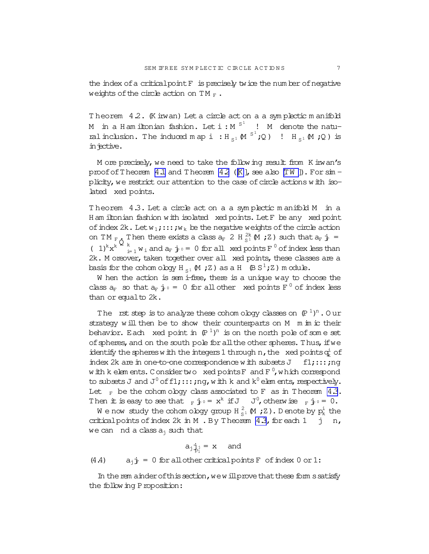<span id="page-6-0"></span>the index ofa criticalpointF is precisely twice the num ber ofnegative weights of the circle action on TM  $_F$ .

Theorem 4.2. (K irwan) Let a circle act on a a symplectic manifold M in a H am iltonian fashion. Let  $i : M^{S^1}$  ! M denote the natural inclusion. The induced map i  $:H_{S^1} \mathsf{M}^{S^1};Q)$  !  $H_{S^1} \mathsf{M}$  ; Q) is in jective.

M ore precisely,we need to take the following result from K irwan's proof of Theorem [4.1](#page-5-0) and Theorem 4.2 ( $K$ ], see also  $[TW]$ ). For  $\sin$ plicity, we restrict our attention to the case of circle actions with isolated xed points.

Theorem 4.3. Let a circle act on a a symplectic manifold M in a H am iltonian fashion with isolated xed points. LetF be any xed point of index 2k. Let  $w_1$ ;::; ;  $w_k$  be the negative weights of the circle action on TM  $_{F_0}$  Then there exists a class  $a_F$  2 H  $_{S_1}^{2k}$  M ; Z) such that  $a_F$  j =  $(1)^k x^k$ <sup>1</sup>  $\sum_{i=1}^{k} w_i$  and  $a_F \cdot j_0 = 0$  for all xed points F  $\textsuperscript{0}$  of index less than 2k. M oreover, taken together over all xed points, these classes are a basis for the cohom ology H<sub>s1</sub>  $\mathsf{M}$ ; Z) as a H  $\mathsf{B}$  S<sup>1</sup>; Z) m odule.

W hen the action is sem i-free, there is a unique way to choose the class  $a_F$  so that  $a_F$   $\dot{f}$   $\circ$  = 0 for all other xed points  $F^0$  of index less than or equal to 2k.

The rst step is to analyze these cohomology classes on  $(P^{1})^{n}$  . Our strategy will then be to show their counterparts on M m im ic their behavior. Each xed point in  $(P^{1})^{n}$  is on the north pole of some set of spheres, and on the south pole for all the other spheres. Thus, if we identify the spheres with the integers 1 through n, the xed points  $q_k^i$  of index 2k are in one-to-one correspondence with subsets  $J$  f1;:::;nq with kelements. Considertwo  $\,$  xed points F  $\,$  and F  $^0$ , which correspond to subsets J and J $^0$  of f $1$ ;:::;ng,with k and k $^0$  elem ents, respectively. Let  $_F$  be the cohom ology class associated to F as in Theorem 4.3. Then it is easy to see that  $_F \dot{\mathbf{j}} \circ = \mathbf{x}^k$  if J  $J^0$ , otherwise  $_F \dot{\mathbf{j}} \circ = 0$ .

We now study the cohom ology group H  $_{\mathrm{S}^{\text{1}}}^2$  (M ; Z ). D enote by  $\mathrm{p}^\text{i}_\text{k}$  the critical points of index  $2k$  in M. By Theorem  $4.3$ , for each  $1 \quad j \quad n$ , we can nd a class  $a_i$  such that

$$
a_j \dot{a}_{j} = x \quad \text{and} \quad
$$

(4.4)  $a_{ij}$  = 0 for all other critical points F of index 0 or 1:

In the rem ainder of this section, we will prove that these form s satisfy the following Proposition: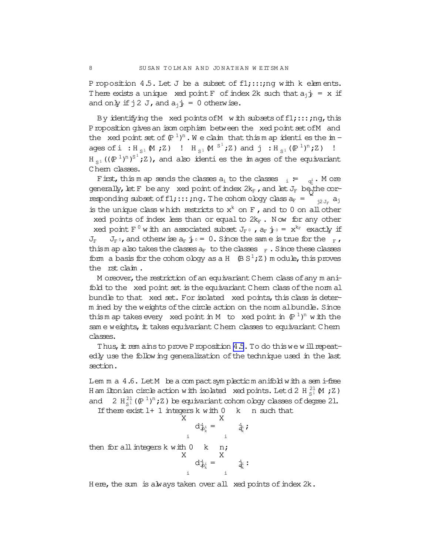P roposition 4.5. Let J be a subset of  $f1;:::r, r, q$  with k elements. There exists a unique xed point F of index 2k such that  $a_j j = x$  if and only if  $j2$  J, and  $a_j$   $\dot{r} = 0$  otherwise.

By identifying the xed points of M with subsets of  $f1;:::;nq$ , this Proposition gives an isom orphism between the xed point set of M and the xed point set of  $(\mathbb{P}^1)^n$ . We claim that this map identies the im ages of  $i : H_{S^1} \mathbb{M}$  ; Z) !  $H_{S^1} \mathbb{M}^{S^1}$ ; Z) and  $j : H_{S^1} (\mathbb{P}^1)^n$ ; Z) !  $H_{S^1}((\mathbb{P}^1)^n)^{S^1}$ ; Z), and also identifies the images of the equivariant Chem classes.

First, this m ap sends the classes  $a_i$  to the classes  $a_i := a_{\vec{q}}$  . More generally, let F be any xed point of index  $2k_F$  , and let  $J_F$  be the corresponding subset of  $f1$ ;::;;ng. The cohom ology class  $a_F = \sum_{j_1,j_F} a_j$ is the unique class which restricts to  $x^k$  on F, and to 0 on all other xed points of index less than or equal to  $2k_F$ . Now for any other xed point F  $^0$  with an associated subset  $J_F \circ$  ,  $a_F \cdot j_F \circ = x^{k_F}$  exactly if  $J_F$   $J_F$ , and otherwise  $a_F$   $\dot{f}$   $\phi$  = 0. Since the same is true for the  $F$ , thism ap also takes the classes  $a_F$  to the classes  $F$ . Since these classes form a basis for the cohom ology as a H  $(B S<sup>1</sup>;Z)$  m odule, this proves the rstclaim .

M oreover, the restriction of an equivariant Chern class of any  $m$  anifold to the xed point set is the equivariant Chern class of the norm all bundle to that xed set. For isolated xed points, this class is determ ined by the weights of the circle action on the norm albundle. Since this m ap takes every xed point in M to xed point in  $(P<sup>1</sup>)<sup>n</sup>$  with the sam e weights, it takes equivariant Chern classes to equivariant Chern classes.

Thus, it rem ainsto prove Proposition [4.5.](#page-6-0) To do this we will repeatedly use the following generalization of the technique used in the last section.

Lem m a 4.6. Let M be a compact symplectic m anifold with a semi-free H am iltonian circle action with isolated xed points. Let d 2 H  $_{\mathrm{S}^1}^{21}$  (M ; Z ) and  $2 H_{S^1}^{21}(\mathbb{P}^1)^n;Z$  be equivariant cohom ology classes of degree 21.

If there exist  $1+1$  integers k with  $0 \lt k$  n such that X i  $d\dot{\psi}_k^i =$ X i jq i k ; then for all integers  $k$  with  $0$  k n; X i  $d\dot{\varphi}_{k}^{i}$  = X i  $\mathbf{\dot{q}}_{k}$  :

Here, the sum is always taken over all xed points of index  $2k$ .

<span id="page-7-0"></span>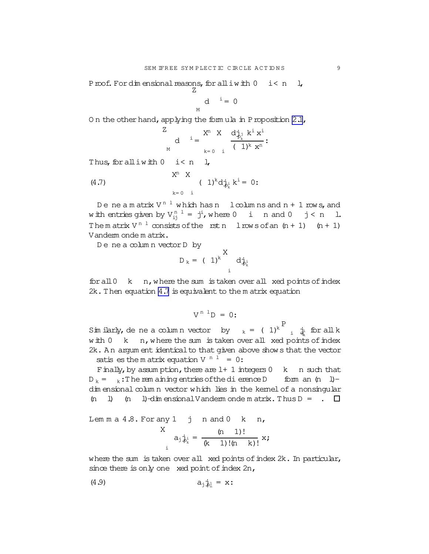<span id="page-8-0"></span>Proof. For dimensional reasons, for all iwith  $0$  i< n l, Z

> M d  $i = 0$

On the other hand, applying the form ula in Proposition  $2.1$ ,

$$
\begin{array}{ccc}Z& & \cr & d & \frac{i}{\mu}=\frac{X^n-X}{k-0}\cdot\frac{d^{\frac{1}{2}}_{p_k}k^{\frac{1}{2}}\,x^{\frac{1}{2}}}{(1)^k\,\,x^n}\,; \end{array}
$$

Thus, for all  $i$  with  $0$  i  $\leq n$  l,

(4.7) 
$$
X^{n} X
$$

$$
(1)^{k} d_{\mathcal{P}_{k}}^{i} k^{i} = 0:
$$

Deneam atrix V  $^{\rm n \ 1}$  which has n  $\;$  loolum ns and n + 1 rows, and with entries given by  $V_{ij}^{n-1} = j^{i}$ , where 0 i n and 0 j < n 1. The m atrix  $V^{n-1}$  consists of the rstn lrows of an  $(n + 1)$   $(n + 1)$ Vanderm onde m atrix.

D ene a colum n vectorD by

$$
D_k = (1)^k \begin{array}{c} X \\ d\dot{\phi}_k \end{array}
$$

 $for all 0$  k  $n$ , where the sum is taken over all xed points of index 2k.Then equation 4.7 isequivalent to the m atrix equation

$$
V^{n}{}^{1}D = 0:
$$

Sim ilarly, de ne a colum n vector by  $k = (1)^k$ P  $i \oint_{k}$  for all k  $w$  ith  $0$  k n, where the sum is taken over all xed points of index 2k. An argum ent identical to that given above shows that the vector satis es the m atrix equation V  $n^1 = 0$ :

Finally, by assum ption, there are  $l+1$  integers  $0$  k n such that  $D_k = k$ : The rem aining entries of the dierence D form an  $(n 1)$ dim ensional colum n vector which lies in the kernel of a nonsingular (n l) (n l)-dim ensional Vanderm onde m atrix. Thus  $D =$ .  $\Box$ 

Lemma a 4.8. For any 1 j n and 0 k n,  

$$
x_{a_j \frac{1}{2}i} = \frac{(n \ 1)!}{(k \ 1)!(n \ k)!} x;
$$

where the sum is taken over all xed points of index 2k. In particular, since there is only one xed point of index  $2n$ ,

$$
(4.9) \t\t a_j \dot{p}_n^1 = x:
$$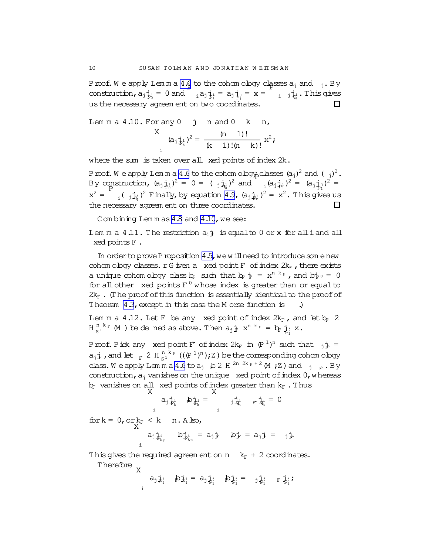Proof. We apply Lemma  $4.6$  to the cohom ology classes  $a_j$  and  $j$ . By construction,  $a_j \dot{a}_0^1 = 0$  and  $a_j \dot{a}_1^1 = a_j \dot{a}_0^1 = x = a_j \dot{a}_1^1 + a_j \dot{a}_1^1$ . This gives us the necessary agreem ent on two coordinates.  $\Box$ 

Lem m a 4.10. For any 0 j n and 0 k n, X i  $(a_j \dot{a}_j)^2 = \frac{(n-1)!}{(k-1)!}$ (k 1)!(n k)!  $x^2$ ;

where the sum is taken over all xed points of index  $2k$ .

Proof. We apply Lemma [4.6](#page-7-0) to the cohom ology classes  $(a_j)^2$  and  $(\frac{1}{2})^2$ . By construction,  $(a_j \dot{a}_j)^2 = 0 = (a_j \dot{a}_j)^2$  and  $(a_j \dot{a}_j)^2 = (a_j \dot{a}_j)^2 = (a_j \dot{a}_j)^2$  $x^2 =$  $_{i}$ ( $_{j}$  $j_{q_{1}}$  $_{l}$ )<sup>2</sup> Finally, by equation [4.9](#page-8-0), (a<sub>j $\frac{1}{10}$ 1</sub>)<sup>2</sup> = x<sup>2</sup>. This gives us the necessary agreem ent on three coordinates.  $\Box$ 

Combining Lemmas [4.8](#page-8-0) and 4.10, we see:

Lem m a 4.11. The restriction  $a_i\dot{f}$  is equalto 0 or x for all i and all xed pointsF .

In order to prove P roposition  $4.5$ , we will need to introduce some new cohom ology classes.  $rG$  iven a xed point  $F$  of index  $2k_F$ , there exists a unique cohom ology class  $b_F$  such that  $b_F$   $j_F = x^{n-k_F}$ , and  $b^+_F$  = 0 for all other xed points  $F^0$  whose index is greater than or equal to  $2k_F$ . (The proof of this function is essentially identical to the proof of Theorem [4.3](#page-6-0), except in this case the M orse function is .)

Lem m a 4.12. Let F be any xed point of index  $2k_F$ , and let  $k_F$  2  $H_{S^1}^{n,k_F}$  (M ) be dened as above. Then  $a_j \cdot \vec{r}$   $x^{n,k_F} = b_F \cdot \vec{p}_j x$ .

Proof. Pick any xed point  $F^{\sim}$  of index  $2k_F$  in  $(P^{-1})^n$  such that  $j_F^+$  =  $a_j$  j, and let  $_F$  2 H  $_S^{n \, k_F}$  (( $(P^1)^n$ ); Z) be the corresponding cohom ology class. We apply  $\text{Lcm}$  m a [4.6](#page-7-0) to  $a_j$  b 2 H  $^{2n}$   $^{2k}$   $F$  + 2 M ; Z ) and  $\frac{1}{j}$   $\frac{1}{F}$ . By construction,  $a_i$  vanishes on the unique xed point of index  $0$ , whereas  $b_F$  vanishes on all xed points of index greater than  $k_F$  . Thus

$$
a_{j} \dot{\phi}_{k}^{i} \quad \phi_{\phi_{k}^{i}}^{i} = \begin{array}{cc} a_{j} \dot{\phi}_{k}^{i} & \dot{\phi}_{k}^{i} = 0 \\ \vdots & \vdots & \vdots \\ a_{j} \dot{\phi}_{k}^{i} & \dot{\phi}_{k}^{i} = a_{j} \dot{\phi}_{k}^{i} & \dot{\phi}_{k}^{i} = 0 \end{array}
$$
\nfor k = 0, or k<sub>F</sub>  $\langle$  k n. A lso,  
\n
$$
a_{j} \dot{\phi}_{k_{F}}^{i} \quad \dot{\phi}_{k_{F}}^{i} = a_{j} \dot{\phi}_{k} \quad \dot{\phi}_{j}^{i} = a_{j} \dot{\phi}_{k}^{i} = a_{j} \dot{\phi}_{k}
$$

This gives the required agreem ent on n  $k_F + 2$  coordinates. Therefore X

i  $a_j \dot{p}_i$   $b_j \dot{p}_i = a_j \dot{p}_i$   $b_j \dot{p}_i = j \dot{p}_i$   $F_i \dot{p}_i$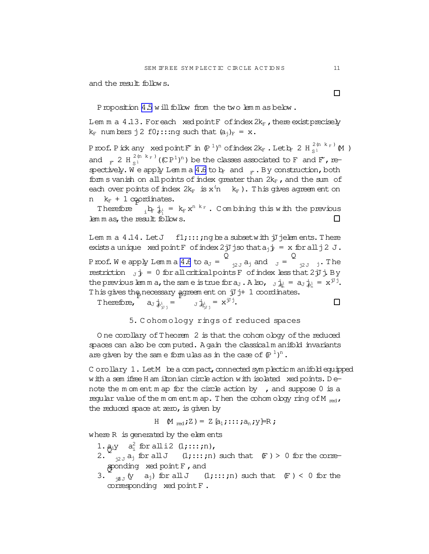and the result follows.

Proposition [4.5](#page-6-0) will follow from the two lem m as below.

Lem m a  $4.13$ . For each xed point F of index  $2k_F$ , there exist precisely  $k_F$  num bers j 2 f0;:::ng such that  $(a_i)_F = x$ .

Proof. Pick any  $x$ ed point $F$  in  $(P^{-1})^n$  of index  $2k_F$  . Let  $b_F$  2 H  $_{{S}^1}^{2(n-k_F)}$  M  $)$ and  $_F$  2 H $_{S^1}^{2(n-k_F)}$  ((CP<sup>1</sup>)<sup>n</sup>) be the classes associated to F and F, re-spectively. We apply Lemma [4.6](#page-7-0) to  $b_F$  and  $F_F$ . By construction, both form s vanish on all points of index greater than  $2k_F$ , and the sum of each over points of index  $2k_F$  is  $x^{\prime}$ n k<sub>F</sub>). This gives agreem ent on n  $k_F + 1$  approximates.

Therefore  $i_{i}$   $\mathbf{b}_{i}$   $\mathbf{j}_{i}$  =  $k_{F}$   $\mathbf{x}^{n-k_{F}}$ . Combining this with the previous  $\Box$ lem m as, the result follows.

Lem m a  $4.14$ . Let  $J$   $f1$ ;:::; ng be a subset with jJ jelem ents. There exists a unique xed point F of index 2 jJ jso that  $a_i$   $j = x$  for all j 2 J. Proof. We apply Lemma [4.6](#page-7-0) to  $a_J =$  $\bar{\mathsf{Q}}$  $j_{2J} a_j$  and  $J =$ Q  $j2J \quad j$ . The restriction  $J\dot{J} = 0$  for all critical points F of index less that 2jJj. By the previous lemma, the same is true for  $a_J$ . Also,  $J_{a_n}$  =  $a_J$   $\dot{P}_n$  =  $x^{jJ}$ . This gives the necessary agreem ent on  $\overline{J}$  j+ 1 coordinates.

Therefore,  $a_J \dot{a}_{J^i J^j} = \begin{bmatrix} 1 \\ 0 \end{bmatrix} \dot{a}_{J^j J^j} = x^{J^j J^j}.$  $\Box$ 

5. C ohom ology rings of reduced spaces

O ne corollary of Theorem 2 is that the cohom ology of the reduced spaces can also be computed. A gain the classical m anifold invariants are given by the same formulas as in the case of  $(\mathbb{P}^1)^n$ .

C orollary  $1$ . Let  $M$  be a compact, connected sym plecticm anifold equipped with a sem ifree H am iltonian circle action with isolated xed points. Denote the m om ent m ap for the circle action by  $\prime$ , and suppose 0 is a regular value of the m om entm ap. Then the cohom ology ring of M  $_{\text{red}}$ , the reduced space at zero, is given by

H 
$$
M_{\text{red}};Z
$$
 =  $Z[a_1; \dots; a_n; y] = R;$ 

where R is generated by the elem ents

- 1.  $a_i y$  a<sup>2</sup> for all i2 (1;:::;n),
- 2.  $\sum_{j\geq J} a_j$  for all  $J$   $(1; \ldots; n)$  such that  $(F) > 0$  for the corresponding xed point F, and
- 3.  $\tilde{f}_{\text{if }J}(y \text{ a}_j)$  for all J  $(1;\dots;\text{n})$  such that  $(F) < 0$  for the corresponding xed pointF .

 $\Box$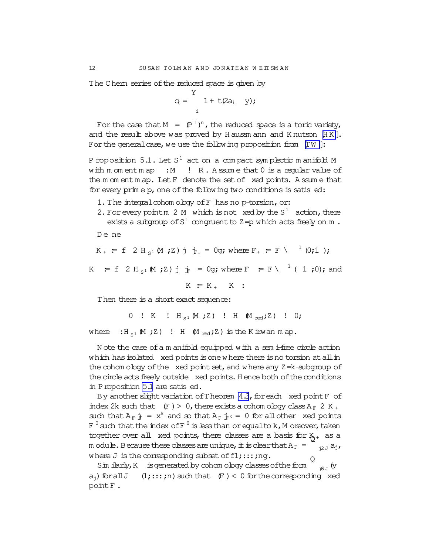The Chem series of the reduced space is given by

$$
c_t = \begin{cases} \n\frac{Y}{1 + t(2a_i)} & \text{y}; \\
\vdots & \text{y}; \n\end{cases}
$$

For the case that  $M = (\mathbb{P}^1)^n$ , the reduced space is a toric variety, and the result above was proved by Haussmann and Knutson [HK]. For the general case, we use the following proposition from  $[TW]$ :

P roposition 5.1. Let  $S^1$  act on a compact symplectic manifold M with  $m$  om ent  $m$  ap : M ! R. Assume that  $0$  is a reqular value of the moment map. Let F denote the set of xed points. A ssume that for every prime p, one of the following two conditions is satised:

- 1. The integral cohom oboy of F has no p-torsion, or:
- 2. For every point m 2 M which is not xed by the  $S^1$  action, there exists a subgroup of  $S^1$  congruent to  $Z = p$  which acts freely on m. De ne

$$
K_{+} = f \ 2 H_{s1} M
$$
; 2) j  $\dot{F}_{+} = 0$ g; where  $F_{+} = F \ \cdot \ \cdot \ (0;1)$ ;

K = f 2 H<sub>s</sub>1 (M ; Z) j  $\frac{1}{F}$  = 0g; where F = F \ <sup>1</sup> ( 1 ; 0); and

 $K = K_+$  K :

Then there is a short exact sequence:

0 ! K !  $H_{S^1} M Z$  ! H  $M_{red} Z$  ! 0;

 $:H_{S^1} \mathfrak{M}$  ; Z) ! H  $\mathfrak{M}$   $_{\rm red}$  ; Z) is the K inwan m ap. where

Note the case of a m anifold equipped with a sem i-free circle action which has isolated xed points is one where there is no torsion at all in the cohom oboy of the xed point set, and where any  $Z = k$ -subgroup of the circle acts freely outside xed points. Hence both of the conditions in Proposition 5.1 are satis ed.

By another slight variation of Theorem 4.3, for each xed point F of index 2k such that  $(F) > 0$ , there exists a cohom ology class  $A_F$  2 K<sub>+</sub> such that  $A_F$   $\dot{+}$  =  $x^k$  and so that  $A_F$   $\dot{+}$   $\circ$  = 0 for all other xed points  $F^0$  such that the index of  $F^0$  is less than or equal to k, M oreover, taken together over all xed points, there classes are a basis for  $K_{+}$  as a m odule. Because these classes are unique, it is clear that  $A_F = \begin{bmatrix} a_{12} & a_1 \\ a_2 & a_2 \end{bmatrix}$ where J is the corresponding subset of f1;:::; ng.

Sim ilarly, K is generated by cohom ology classes of the form  $\sum_{i\in J}$  (y  $a_{i}$ ) for all  $J$  (1;::; ; n) such that  $(F) < 0$  for the corresponding xed point F.

12